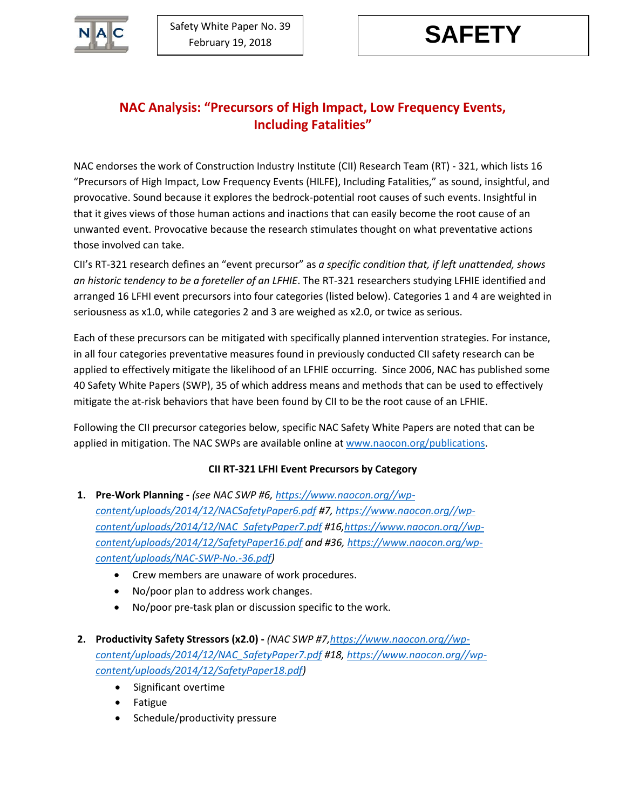

## **NAC Analysis: "Precursors of High Impact, Low Frequency Events, Including Fatalities"**

NAC endorses the work of Construction Industry Institute (CII) Research Team (RT) - 321, which lists 16 "Precursors of High Impact, Low Frequency Events (HILFE), Including Fatalities," as sound, insightful, and provocative. Sound because it explores the bedrock-potential root causes of such events. Insightful in that it gives views of those human actions and inactions that can easily become the root cause of an unwanted event. Provocative because the research stimulates thought on what preventative actions those involved can take.

CII's RT-321 research defines an "event precursor" as *a specific condition that, if left unattended, shows an historic tendency to be a foreteller of an LFHIE*. The RT-321 researchers studying LFHIE identified and arranged 16 LFHI event precursors into four categories (listed below). Categories 1 and 4 are weighted in seriousness as x1.0, while categories 2 and 3 are weighed as x2.0, or twice as serious.

Each of these precursors can be mitigated with specifically planned intervention strategies. For instance, in all four categories preventative measures found in previously conducted CII safety research can be applied to effectively mitigate the likelihood of an LFHIE occurring. Since 2006, NAC has published some 40 Safety White Papers (SWP), 35 of which address means and methods that can be used to effectively mitigate the at-risk behaviors that have been found by CII to be the root cause of an LFHIE.

Following the CII precursor categories below, specific NAC Safety White Papers are noted that can be applied in mitigation. The NAC SWPs are available online a[t www.naocon.org/publications.](http://www.naocon.org/publications)

## **CII RT-321 LFHI Event Precursors by Category**

- **1. Pre-Work Planning -** *(see NAC SWP #6[, https://www.naocon.org//wp](https://www.naocon.org/wp-content/uploads/2014/12/NACSafetyPaper6.pdf)[content/uploads/2014/12/NACSafetyPaper6.pdf](https://www.naocon.org/wp-content/uploads/2014/12/NACSafetyPaper6.pdf) #7, [https://www.naocon.org//wp](https://www.naocon.org/wp-content/uploads/2014/12/NAC_SafetyPaper7.pdf)[content/uploads/2014/12/NAC\\_SafetyPaper7.pdf](https://www.naocon.org/wp-content/uploads/2014/12/NAC_SafetyPaper7.pdf) #16[,https://www.naocon.org//wp](https://www.naocon.org/wp-content/uploads/2014/12/SafetyPaper16.pdf)[content/uploads/2014/12/SafetyPaper16.pdf](https://www.naocon.org/wp-content/uploads/2014/12/SafetyPaper16.pdf) and #36[, https://www.naocon.org/wp](https://www.naocon.org/wp-content/uploads/NAC-SWP-No.-36.pdf)[content/uploads/NAC-SWP-No.-36.pdf\)](https://www.naocon.org/wp-content/uploads/NAC-SWP-No.-36.pdf)*
	- Crew members are unaware of work procedures.
	- No/poor plan to address work changes.
	- No/poor pre-task plan or discussion specific to the work.
- **2. Productivity Safety Stressors (x2.0) -** *(NAC SWP #7[,https://www.naocon.org//wp](https://www.naocon.org/wp-content/uploads/2014/12/NAC_SafetyPaper7.pdf)[content/uploads/2014/12/NAC\\_SafetyPaper7.pdf](https://www.naocon.org/wp-content/uploads/2014/12/NAC_SafetyPaper7.pdf) #18, [https://www.naocon.org//wp](https://www.naocon.org/wp-content/uploads/2014/12/SafetyPaper18.pdf)[content/uploads/2014/12/SafetyPaper18.pdf\)](https://www.naocon.org/wp-content/uploads/2014/12/SafetyPaper18.pdf)*
	- Significant overtime
	- Fatigue
	- Schedule/productivity pressure